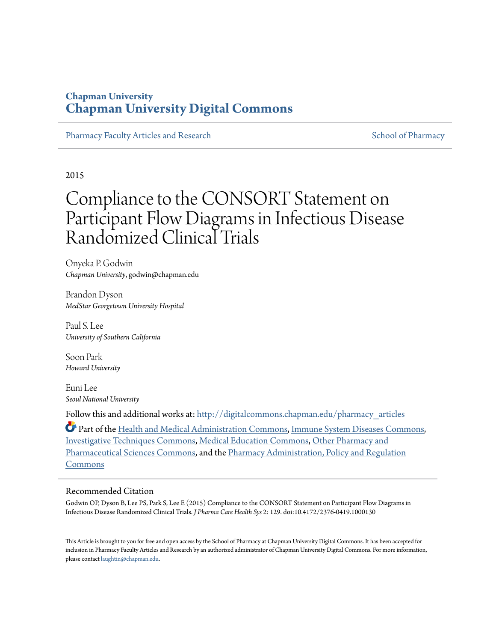## **Chapman University [Chapman University Digital Commons](http://digitalcommons.chapman.edu?utm_source=digitalcommons.chapman.edu%2Fpharmacy_articles%2F149&utm_medium=PDF&utm_campaign=PDFCoverPages)**

[Pharmacy Faculty Articles and Research](http://digitalcommons.chapman.edu/pharmacy_articles?utm_source=digitalcommons.chapman.edu%2Fpharmacy_articles%2F149&utm_medium=PDF&utm_campaign=PDFCoverPages) [School of Pharmacy](http://digitalcommons.chapman.edu/cusp?utm_source=digitalcommons.chapman.edu%2Fpharmacy_articles%2F149&utm_medium=PDF&utm_campaign=PDFCoverPages) Faculty Articles and Research School of Pharmacy

2015

# Compliance to the CONSORT Statement on Participant Flow Diagrams in Infectious Disease Randomized Clinical Trials

Onyeka P. Godwin *Chapman University*, godwin@chapman.edu

Brandon Dyson *MedStar Georgetown University Hospital*

Paul S. Lee *University of Southern California*

Soon Park *Howard University*

Euni Lee *Seoul National University*

Follow this and additional works at: [http://digitalcommons.chapman.edu/pharmacy\\_articles](http://digitalcommons.chapman.edu/pharmacy_articles?utm_source=digitalcommons.chapman.edu%2Fpharmacy_articles%2F149&utm_medium=PDF&utm_campaign=PDFCoverPages)

Part of the [Health and Medical Administration Commons](http://network.bepress.com/hgg/discipline/663?utm_source=digitalcommons.chapman.edu%2Fpharmacy_articles%2F149&utm_medium=PDF&utm_campaign=PDFCoverPages), [Immune System Diseases Commons,](http://network.bepress.com/hgg/discipline/933?utm_source=digitalcommons.chapman.edu%2Fpharmacy_articles%2F149&utm_medium=PDF&utm_campaign=PDFCoverPages) [Investigative Techniques Commons](http://network.bepress.com/hgg/discipline/922?utm_source=digitalcommons.chapman.edu%2Fpharmacy_articles%2F149&utm_medium=PDF&utm_campaign=PDFCoverPages), [Medical Education Commons](http://network.bepress.com/hgg/discipline/1125?utm_source=digitalcommons.chapman.edu%2Fpharmacy_articles%2F149&utm_medium=PDF&utm_campaign=PDFCoverPages), [Other Pharmacy and](http://network.bepress.com/hgg/discipline/737?utm_source=digitalcommons.chapman.edu%2Fpharmacy_articles%2F149&utm_medium=PDF&utm_campaign=PDFCoverPages) [Pharmaceutical Sciences Commons](http://network.bepress.com/hgg/discipline/737?utm_source=digitalcommons.chapman.edu%2Fpharmacy_articles%2F149&utm_medium=PDF&utm_campaign=PDFCoverPages), and the [Pharmacy Administration, Policy and Regulation](http://network.bepress.com/hgg/discipline/732?utm_source=digitalcommons.chapman.edu%2Fpharmacy_articles%2F149&utm_medium=PDF&utm_campaign=PDFCoverPages) [Commons](http://network.bepress.com/hgg/discipline/732?utm_source=digitalcommons.chapman.edu%2Fpharmacy_articles%2F149&utm_medium=PDF&utm_campaign=PDFCoverPages)

### Recommended Citation

Godwin OP, Dyson B, Lee PS, Park S, Lee E (2015) Compliance to the CONSORT Statement on Participant Flow Diagrams in Infectious Disease Randomized Clinical Trials. *J Pharma Care Health Sys* 2: 129. doi:10.4172/2376-0419.1000130

This Article is brought to you for free and open access by the School of Pharmacy at Chapman University Digital Commons. It has been accepted for inclusion in Pharmacy Faculty Articles and Research by an authorized administrator of Chapman University Digital Commons. For more information, please contact [laughtin@chapman.edu.](mailto:laughtin@chapman.edu)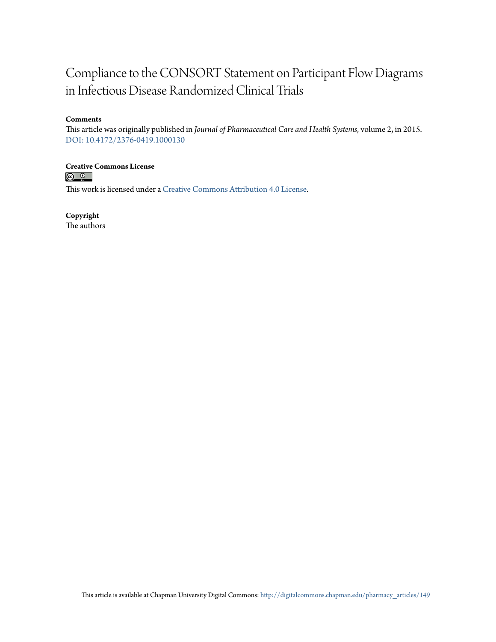# Compliance to the CONSORT Statement on Participant Flow Diagrams in Infectious Disease Randomized Clinical Trials

### **Comments**

This article was originally published in *Journal of Pharmaceutical Care and Health Systems*, volume 2, in 2015. [DOI: 10.4172/2376-0419.1000130](http://dx.doi.org/10.4172/2376-0419.1000130)

**Creative Commons License**<br> **C Q Q** 

This work is licensed under a [Creative Commons Attribution 4.0 License.](http://creativecommons.org/licenses/by/4.0/)

**Copyright**

The authors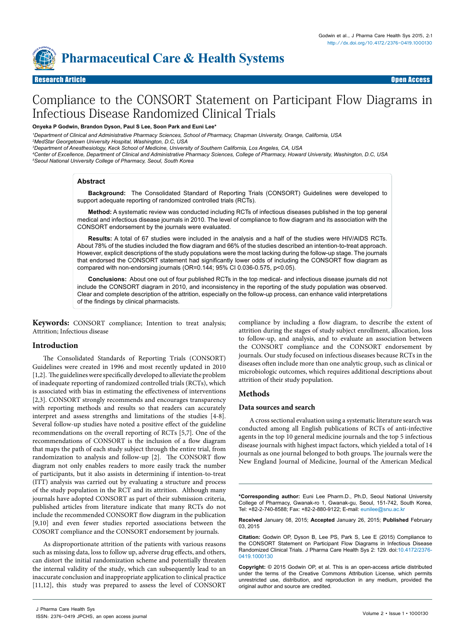

### Research Article Open Access Research Article Open Access

# Compliance to the CONSORT Statement on Participant Flow Diagrams in Infectious Disease Randomized Clinical Trials

#### **Onyeka P Godwin, Brandon Dyson, Paul S Lee, Soon Park and Euni Lee\***

*1 Department of Clinical and Administrative Pharmacy Sciences, School of Pharmacy, Chapman University, Orange, California, USA*

*2 MedStar Georgetown University Hospital, Washington, D.C, USA*

*3 Department of Anesthesiology, Keck School of Medicine, University of Southern California, Los Angeles, CA, USA*

*4 Center of Excellence, Department of Clinical and Administrative Pharmacy Sciences, College of Pharmacy, Howard University, Washington, D.C, USA 5 Seoul National University College of Pharmacy, Seoul, South Korea*

#### **Abstract**

**Background:** The Consolidated Standard of Reporting Trials (CONSORT) Guidelines were developed to support adequate reporting of randomized controlled trials (RCTs).

**Method:** A systematic review was conducted including RCTs of infectious diseases published in the top general medical and infectious disease journals in 2010. The level of compliance to flow diagram and its association with the CONSORT endorsement by the journals were evaluated.

**Results:** A total of 67 studies were included in the analysis and a half of the studies were HIV/AIDS RCTs. About 78% of the studies included the flow diagram and 66% of the studies described an intention-to-treat approach. However, explicit descriptions of the study populations were the most lacking during the follow-up stage. The journals that endorsed the CONSORT statement had significantly lower odds of including the CONSORT flow diagram as compared with non-endorsing journals (OR=0.144; 95% CI 0.036-0.575, p<0.05).

**Conclusions:** About one out of four published RCTs in the top medical- and infectious disease journals did not include the CONSORT diagram in 2010, and inconsistency in the reporting of the study population was observed. Clear and complete description of the attrition, especially on the follow-up process, can enhance valid interpretations of the findings by clinical pharmacists.

**Keywords:** CONSORT compliance; Intention to treat analysis; Attrition; Infectious disease

#### **Introduction**

The Consolidated Standards of Reporting Trials (CONSORT) Guidelines were created in 1996 and most recently updated in 2010 [1,2]. The guidelines were specifically developed to alleviate the problem of inadequate reporting of randomized controlled trials (RCTs), which is associated with bias in estimating the effectiveness of interventions [2,3]. CONSORT strongly recommends and encourages transparency with reporting methods and results so that readers can accurately interpret and assess strengths and limitations of the studies [4-8]. Several follow-up studies have noted a positive effect of the guideline recommendations on the overall reporting of RCTs [5,7]. One of the recommendations of CONSORT is the inclusion of a flow diagram that maps the path of each study subject through the entire trial, from randomization to analysis and follow-up [2]. The CONSORT flow diagram not only enables readers to more easily track the number of participants, but it also assists in determining if intention-to-treat (ITT) analysis was carried out by evaluating a structure and process of the study population in the RCT and its attrition. Although many journals have adopted CONSORT as part of their submission criteria, published articles from literature indicate that many RCTs do not include the recommended CONSORT flow diagram in the publication [9,10] and even fewer studies reported associations between the COSORT compliance and the CONSORT endorsement by journals.

As disproportionate attrition of the patients with various reasons such as missing data, loss to follow up, adverse drug effects, and others, can distort the initial randomization scheme and potentially threaten the internal validity of the study, which can subsequently lead to an inaccurate conclusion and inappropriate application to clinical practice [11,12], this study was prepared to assess the level of CONSORT

compliance by including a flow diagram, to describe the extent of attrition during the stages of study subject enrollment, allocation, loss to follow-up, and analysis, and to evaluate an association between the CONSORT compliance and the CONSORT endorsement by journals. Our study focused on infectious diseases because RCTs in the diseases often include more than one analytic group, such as clinical or microbiologic outcomes, which requires additional descriptions about attrition of their study population.

#### **Methods**

#### **Data sources and search**

A cross sectional evaluation using a systematic literature search was conducted among all English publications of RCTs of anti-infective agents in the top 10 general medicine journals and the top 5 infectious disease journals with highest impact factors, which yielded a total of 14 journals as one journal belonged to both groups. The journals were the New England Journal of Medicine, Journal of the American Medical

**\*Corresponding author:** Euni Lee Pharm.D., Ph.D, Seoul National University College of Pharmacy, Gwanak-ro 1, Gwanak-gu, Seoul, 151-742, South Korea, Tel: +82-2-740-8588; Fax: +82-2-880-9122; E-mail: eunilee@snu.ac.kr

**Received** January 08, 2015; **Accepted** January 26, 2015; **Published** February 03, 2015

**Citation:** Godwin OP, Dyson B, Lee PS, Park S, Lee E (2015) Compliance to the CONSORT Statement on Participant Flow Diagrams in Infectious Disease Randomized Clinical Trials. J Pharma Care Health Sys 2: 129. doi:[10.4172/2376-](http://dx.doi.org/10.4172/2376-0419.1000130) [0419.1000130](http://dx.doi.org/10.4172/2376-0419.1000130)

**Copyright:** © 2015 Godwin OP, et al. This is an open-access article distributed under the terms of the Creative Commons Attribution License, which permits unrestricted use, distribution, and reproduction in any medium, provided the original author and source are credited.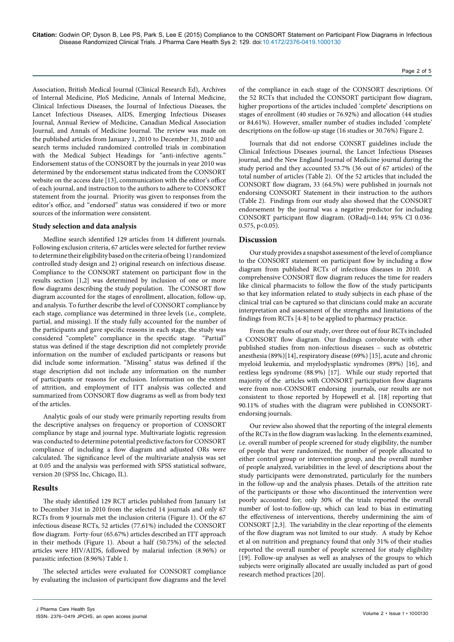**Citation:** Godwin OP, Dyson B, Lee PS, Park S, Lee E (2015) Compliance to the CONSORT Statement on Participant Flow Diagrams in Infectious Disease Randomized Clinical Trials. J Pharma Care Health Sys 2: 129. doi[:10.4172/2376-0419.1000130](http://dx.doi.org/10.4172/2376-0419.1000130)

Association, British Medical Journal (Clinical Research Ed), Archives of Internal Medicine, PloS Medicine, Annals of Internal Medicine, Clinical Infectious Diseases, the Journal of Infectious Diseases, the Lancet Infectious Diseases, AIDS, Emerging Infectious Diseases Journal, Annual Review of Medicine, Canadian Medical Association Journal, and Annals of Medicine Journal. The review was made on the published articles from January 1, 2010 to December 31, 2010 and search terms included randomized controlled trials in combination with the Medical Subject Headings for "anti-infective agents." Endorsement status of the CONSORT by the journals in year 2010 was determined by the endorsement status indicated from the CONSORT website on the access date [13], communication with the editor's office of each journal, and instruction to the authors to adhere to CONSORT statement from the journal. Priority was given to responses from the editor's office, and "endorsed" status was considered if two or more sources of the information were consistent.

#### **Study selection and data analysis**

Medline search identified 129 articles from 14 different journals. Following exclusion criteria, 67 articles were selected for further review to determine their eligibility based on the criteria of being 1) randomized controlled study design and 2) original research on infectious disease. Compliance to the CONSORT statement on participant flow in the results section [1,2] was determined by inclusion of one or more flow diagrams describing the study population. The CONSORT flow diagram accounted for the stages of enrollment, allocation, follow-up, and analysis. To further describe the level of CONSORT compliance by each stage, compliance was determined in three levels (i.e., complete, partial, and missing). If the study fully accounted for the number of the participants and gave specific reasons in each stage, the study was considered "complete" compliance in the specific stage. "Partial" status was defined if the stage description did not completely provide information on the number of excluded participants or reasons but did include some information. "Missing" status was defined if the stage description did not include any information on the number of participants or reasons for exclusion. Information on the extent of attrition, and employment of ITT analysis was collected and summarized from CONSORT flow diagrams as well as from body text of the articles.

Analytic goals of our study were primarily reporting results from the descriptive analyses on frequency or proportion of CONSORT compliance by stage and journal type. Multivariate logistic regression was conducted to determine potential predictive factors for CONSORT compliance of including a flow diagram and adjusted ORs were calculated. The significance level of the multivariate analysis was set at 0.05 and the analysis was performed with SPSS statistical software, version 20 (SPSS Inc, Chicago, IL).

#### **Results**

The study identified 129 RCT articles published from January 1st to December 31st in 2010 from the selected 14 journals and only 67 RCTs from 9 journals met the inclusion criteria (Figure 1). Of the 67 infectious disease RCTs, 52 articles (77.61%) included the CONSORT flow diagram. Forty-four (65.67%) articles described an ITT approach in their methods (Figure 1). About a half (50.75%) of the selected articles were HIV/AIDS, followed by malarial infection (8.96%) or parasitic infection (8.96%) Table 1.

The selected articles were evaluated for CONSORT compliance by evaluating the inclusion of participant flow diagrams and the level

Page 2 of 5

of the compliance in each stage of the CONSORT descriptions. Of the 52 RCTs that included the CONSORT participant flow diagram, higher proportions of the articles included 'complete' descriptions on stages of enrollment (40 studies or 76.92%) and allocation (44 studies or 84.61%). However, smaller number of studies included 'complete' descriptions on the follow-up stage (16 studies or 30.76%) Figure 2.

Journals that did not endorse CONSRT guidelines include the Clinical Infectious Diseases journal, the Lancet Infectious Diseases journal, and the New England Journal of Medicine journal during the study period and they accounted 53.7% (36 out of 67 articles) of the total number of articles (Table 2). Of the 52 articles that included the CONSORT flow diagram, 33 (64.5%) were published in journals not endorsing CONSORT Statement in their instruction to the authors (Table 2). Findings from our study also showed that the CONSORT endorsement by the journal was a negative predictor for including CONSORT participant flow diagram. (ORadj=0.144; 95% CI 0.036- 0.575, p<0.05).

#### **Discussion**

Our study provides a snapshot assessment of the level of compliance to the CONSORT statement on participant flow by including a flow diagram from published RCTs of infectious diseases in 2010. A comprehensive CONSORT flow diagram reduces the time for readers like clinical pharmacists to follow the flow of the study participants so that key information related to study subjects in each phase of the clinical trial can be captured so that clinicians could make an accurate interpretation and assessment of the strengths and limitations of the findings from RCTs [4-8] to be applied to pharmacy practice.

From the results of our study, over three out of four RCTs included a CONSORT flow diagram. Our findings corroborate with other published studies from non-infectious diseases – such as obstetric anesthesia (89%)[14], respiratory disease (69%) [15], acute and chronic myeloid leukemia, and myelodysplastic syndromes (89%) [16], and restless legs syndrome (88.9%) [17]. While our study reported that majority of the articles with CONSORT participation flow diagrams were from non-CONSORT endorsing journals, our results are not consistent to those reported by Hopewell et al. [18] reporting that 90.11% of studies with the diagram were published in CONSORTendorsing journals.

Our review also showed that the reporting of the integral elements of the RCTs in the flow diagram was lacking. In the elements examined, i.e. overall number of people screened for study eligibility, the number of people that were randomized, the number of people allocated to either control group or intervention group, and the overall number of people analyzed, variabilities in the level of descriptions about the study participants were demonstrated, particularly for the numbers in the follow-up and the analysis phases. Details of the attrition rate of the participants or those who discontinued the intervention were poorly accounted for; only 30% of the trials reported the overall number of lost-to-follow-up, which can lead to bias in estimating the effectiveness of interventions, thereby undermining the aim of CONSORT [2,3]. The variability in the clear reporting of the elements of the flow diagram was not limited to our study. A study by Kehoe et al on nutrition and pregnancy found that only 31% of their studies reported the overall number of people screened for study eligibility [19]. Follow-up analyses as well as analyses of the groups to which subjects were originally allocated are usually included as part of good research method practices [20].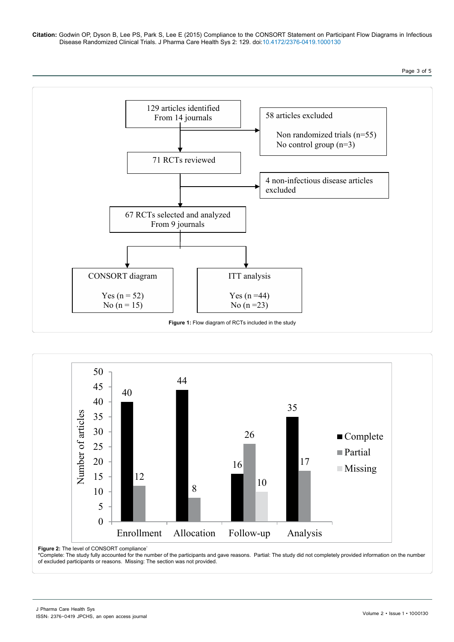**Citation:** Godwin OP, Dyson B, Lee PS, Park S, Lee E (2015) Compliance to the CONSORT Statement on Participant Flow Diagrams in Infectious Disease Randomized Clinical Trials. J Pharma Care Health Sys 2: 129. doi[:10.4172/2376-0419.1000130](http://dx.doi.org/10.4172/2376-0419.1000130)

Page 3 of 5





**Figure 2:** The level of CONSORT compliance<sup>\*</sup>

\*Complete: The study fully accounted for the number of the participants and gave reasons. Partial: The study did not completely provided information on the number of excluded participants or reasons. Missing: The section was not provided.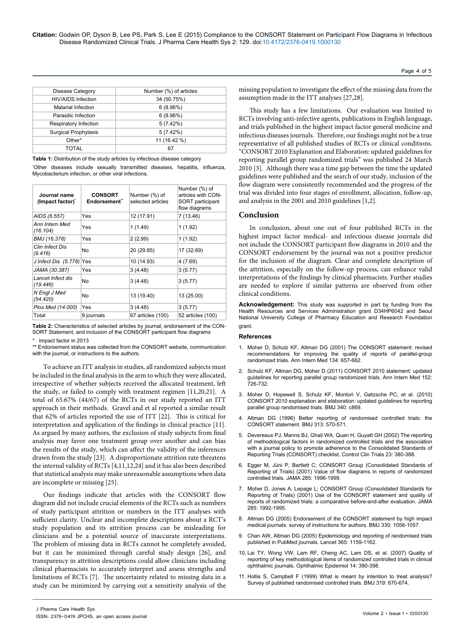| <b>Disease Category</b>   | Number (%) of articles |  |
|---------------------------|------------------------|--|
| <b>HIV/AIDS Infection</b> | 34 (50.75%)            |  |
| Malarial Infection        | 6(8.96%)               |  |
| Parasitic Infection       | 6(8.96%)               |  |
| Respiratory Infection     | 5(7.42%)               |  |
| Surgical Prophylaxis      | 5(7.42%)               |  |
| Other*                    | 11 (16.42 %)           |  |
| TOTAL                     | 67                     |  |

**Table 1:** Distribution of the study articles by infectious disease category

\* Other diseases include sexually transmitted diseases, hepatitis, influenza, Mycobacterium infection, or other viral infections.

| Journal name<br>(Impact factor) <sup>*</sup> | <b>CONSORT</b><br>Endorsement" | Number (%) of<br>selected articles | Number (%) of<br>articles with CON-<br>SORT participant<br>flow diagrams |
|----------------------------------------------|--------------------------------|------------------------------------|--------------------------------------------------------------------------|
| AIDS (6.557)                                 | Yes                            | 12 (17.91)                         | 7 (13.46)                                                                |
| Ann Intern Med<br>(16.104)                   | Yes                            | 1(1.49)                            | 1(1.92)                                                                  |
| BMJ (16.378)                                 | Yes                            | 2(2.99)                            | 1(1.92)                                                                  |
| Clin Infect Dis<br>(9.416)                   | No                             | 20 (29.85)                         | 17 (32.69)                                                               |
| J Infect Dis (5.778) Yes                     |                                | 10 (14.93)                         | 4 (7.69)                                                                 |
| JAMA (30.387)                                | Yes                            | 3(4.48)                            | 3(5.77)                                                                  |
| Lancet Infect dis<br>(19.446)                | No                             | 3(4.48)                            | 3(5.77)                                                                  |
| N Engl J Med<br>(54.420)                     | No                             | 13 (19.40)                         | 13 (25.00)                                                               |
| Plos Med (14.000)                            | Yes                            | 3(4.48)                            | 3(5.77)                                                                  |
| Total                                        | 9 journals                     | 67 articles (100)                  | 52 articles (100)                                                        |

**Table 2:** Characteristics of selected articles by journal, endorsement of the CON-SORT Statement, and inclusion of the CONSORT participant flow diagrams

Impact factor in 2013

\*\* Endorsement status was collected from the CONSORT website, communication with the journal, or instructions to the authors.

To achieve an ITT analysis in studies, all randomized subjects must be included in the final analysis in the arm to which they were allocated, irrespective of whether subjects received the allocated treatment, left the study, or failed to comply with treatment regimen [11,20,21]. A total of 65.67% (44/67) of the RCTs in our study reported an ITT approach in their methods. Gravel and et al reported a similar result that 62% of articles reported the use of ITT [22]. This is critical for interpretation and application of the findings in clinical practice [11]. As argued by many authors, the exclusion of study subjects from final analysis may favor one treatment group over another and can bias the results of the study, which can affect the validity of the inferences drawn from the study [23]. A disproportionate attrition rate threatens the internal validity of RCTs [4,11,12,24] and it has also been described that statistical analysis may make unreasonable assumptions when data are incomplete or missing [25].

Our findings indicate that articles with the CONSORT flow diagram did not include crucial elements of the RCTs such as numbers of study participant attrition or numbers in the ITT analyses with sufficient clarity. Unclear and incomplete descriptions about a RCT's study population and its attrition process can be misleading for clinicians and be a potential source of inaccurate interpretations. The problem of missing data in RCTs cannot be completely avoided, but it can be minimized through careful study design [26], and transparency in attrition descriptions could allow clinicians including clinical pharmacists to accurately interpret and assess strengths and limitations of RCTs [7]. The uncertainty related to missing data in a study can be minimized by carrying out a sensitivity analysis of the missing population to investigate the effect of the missing data from the assumption made in the ITT analyses [27,28].

Page 4 of 5

This study has a few limitations. Our evaluation was limited to RCTs involving anti-infective agents, publications in English language, and trials published in the highest impact factor general medicine and infectious diseases journals. Therefore, our findings might not be a true representative of all published studies of RCTs or clinical conditions. "CONSORT 2010 Explanation and Elaboration: updated guidelines for reporting parallel group randomized trials" was published 24 March 2010 [3]. Although there was a time gap between the time the updated guidelines were published and the search of our study, inclusion of the flow diagram were consistently recommended and the progress of the trial was divided into four stages of enrollment, allocation, follow-up, and analysis in the 2001 and 2010 guidelines [1,2].

#### **Conclusion**

In conclusion, about one out of four published RCTs in the highest impact factor medical- and infectious disease journals did not include the CONSORT participant flow diagrams in 2010 and the CONSORT endorsement by the journal was not a positive predictor for the inclusion of the diagram. Clear and complete description of the attrition, especially on the follow-up process, can enhance valid interpretations of the findings by clinical pharmacists. Further studies are needed to explore if similar patterns are observed from other clinical conditions.

**Acknowledgement:** This study was supported in part by funding from the Health Resources and Services Administration grant D34HP6042 and Seoul National University College of Pharmacy Education and Research Foundation grant.

#### **References**

- 1. [Moher D, Schulz KF, Altman DG \(2001\) The CONSORT statement: revised](http://www.ncbi.nlm.nih.gov/pubmed/11323066)  [recommendations for improving the quality of reports of parallel-group](http://www.ncbi.nlm.nih.gov/pubmed/11323066)  [randomized trials. Ann Intern Med 134: 657-662.](http://www.ncbi.nlm.nih.gov/pubmed/11323066)
- 2. [Schulz KF, Altman DG, Moher D \(2011\) CONSORT 2010 statement: updated](http://www.ncbi.nlm.nih.gov/pubmed/20335313)  [guidelines for reporting parallel group randomized trials. Ann Intern Med 152:](http://www.ncbi.nlm.nih.gov/pubmed/20335313)  [726-732.](http://www.ncbi.nlm.nih.gov/pubmed/20335313)
- 3. [Moher D, Hopewell S, Schulz KF, Montori V, Gøtzsche PC, et al. \(2010\)](http://www.ncbi.nlm.nih.gov/pubmed/20332511)  [CONSORT 2010 explanation and elaboration: updated guidelines for reporting](http://www.ncbi.nlm.nih.gov/pubmed/20332511)  [parallel group randomised trials. BMJ 340: c869.](http://www.ncbi.nlm.nih.gov/pubmed/20332511)
- Altman DG (1996) Better reporting of randomised controlled trials: the [CONSORT statement. BMJ 313: 570-571.](http://www.ncbi.nlm.nih.gov/pubmed/8806240)
- 5. [Devereaux PJ, Manns BJ, Ghali WA, Quan H, Guyatt GH \(2002\) The reporting](http://www.ncbi.nlm.nih.gov/pubmed/12161081)  [of methodological factors in randomized controlled trials and the association](http://www.ncbi.nlm.nih.gov/pubmed/12161081)  with a journal policy to promote adherence to the Consolidated Standards of [Reporting Trials \(CONSORT\) checklist. Control Clin Trials 23: 380-388.](http://www.ncbi.nlm.nih.gov/pubmed/12161081)
- 6. [Egger M, Jüni P, Bartlett C; CONSORT Group \(Consolidated Standards of](http://www.ncbi.nlm.nih.gov/pubmed/11308437)  [Reporting of Trials\) \(2001\) Value of flow diagrams in reports of randomized](http://www.ncbi.nlm.nih.gov/pubmed/11308437)  [controlled trials. JAMA 285: 1996-1999.](http://www.ncbi.nlm.nih.gov/pubmed/11308437)
- 7. [Moher D, Jones A, Lepage L; CONSORT Group \(Consolidated Standards for](http://www.ncbi.nlm.nih.gov/pubmed/11308436)  [Reporting of Trials\) \(2001\) Use of the CONSORT statement and quality of](http://www.ncbi.nlm.nih.gov/pubmed/11308436)  [reports of randomized trials: a comparative before-and-after evaluation. JAMA](http://www.ncbi.nlm.nih.gov/pubmed/11308436)  [285: 1992-1995.](http://www.ncbi.nlm.nih.gov/pubmed/11308436)
- 8. [Altman DG \(2005\) Endorsement of the CONSORT statement by high impact](http://www.ncbi.nlm.nih.gov/pubmed/15879389)  [medical journals: survey of instructions for authors. BMJ 330: 1056-1057.](http://www.ncbi.nlm.nih.gov/pubmed/15879389)
- 9. [Chan AW, Altman DG \(2005\) Epidemiology and reporting of randomised trials](http://www.ncbi.nlm.nih.gov/pubmed/15794971)  [published in PubMed journals. Lancet 365: 1159-1162.](http://www.ncbi.nlm.nih.gov/pubmed/15794971)
- 10. [Lai TY, Wong VW, Lam RF, Cheng AC, Lam DS, et al. \(2007\) Quality of](http://www.ncbi.nlm.nih.gov/pubmed/18161613)  [reporting of key methodological items of randomized controlled trials in clinical](http://www.ncbi.nlm.nih.gov/pubmed/18161613)  [ophthalmic journals. Ophthalmic Epidemiol 14: 390-398.](http://www.ncbi.nlm.nih.gov/pubmed/18161613)
- 11. [Hollis S, Campbell F \(1999\) What is meant by intention to treat analysis?](http://www.ncbi.nlm.nih.gov/pubmed/10480822)  [Survey of published randomised controlled trials. BMJ 319: 670-674.](http://www.ncbi.nlm.nih.gov/pubmed/10480822)